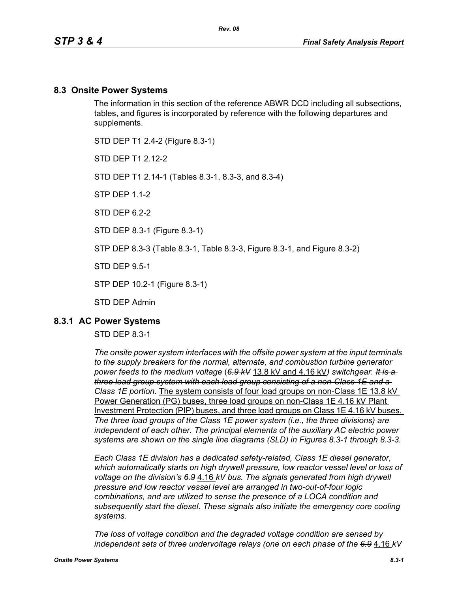### **8.3 Onsite Power Systems**

The information in this section of the reference ABWR DCD including all subsections, tables, and figures is incorporated by reference with the following departures and supplements.

STD DEP T1 2.4-2 (Figure 8.3-1)

STD DFP T1 2 12-2

STD DEP T1 2.14-1 (Tables 8.3-1, 8.3-3, and 8.3-4)

STP DEP 1.1-2

STD DFP 62-2

STD DEP 8.3-1 (Figure 8.3-1)

STP DEP 8.3-3 (Table 8.3-1, Table 8.3-3, Figure 8.3-1, and Figure 8.3-2)

STD DEP 9.5-1

STP DEP 10.2-1 (Figure 8.3-1)

STD DEP Admin

### **8.3.1 AC Power Systems**

### STD DEP 8.3-1

*The onsite power system interfaces with the offsite power system at the input terminals to the supply breakers for the normal, alternate, and combustion turbine generator power feeds to the medium voltage* (*6.9 kV* 13.8 kV and 4.16 kV*) switchgear. It is a three load group system with each load group consisting of a non-Class 1E and a Class 1E portion.* The system consists of four load groups on non-Class 1E 13.8 kV Power Generation (PG) buses, three load groups on non-Class 1E 4.16 kV Plant Investment Protection (PIP) buses, and three load groups on Class 1E 4.16 kV buses. *The three load groups of the Class 1E power system (i.e., the three divisions) are independent of each other. The principal elements of the auxiliary AC electric power systems are shown on the single line diagrams (SLD) in Figures 8.3-1 through 8.3-3.*

*Each Class 1E division has a dedicated safety-related, Class 1E diesel generator, which automatically starts on high drywell pressure, low reactor vessel level or loss of voltage on the division's 6.9* 4.16 *kV bus. The signals generated from high drywell pressure and low reactor vessel level are arranged in two-out-of-four logic combinations, and are utilized to sense the presence of a LOCA condition and subsequently start the diesel. These signals also initiate the emergency core cooling systems.*

*The loss of voltage condition and the degraded voltage condition are sensed by independent sets of three undervoltage relays (one on each phase of the 6.9* 4.16 *kV*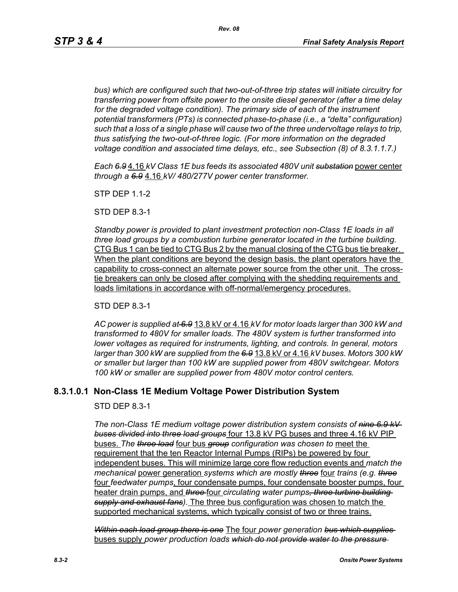*bus) which are configured such that two-out-of-three trip states will initiate circuitry for transferring power from offsite power to the onsite diesel generator (after a time delay*  for the degraded voltage condition). The primary side of each of the instrument *potential transformers (PTs) is connected phase-to-phase (i.e., a "delta" configuration) such that a loss of a single phase will cause two of the three undervoltage relays to trip, thus satisfying the two-out-of-three logic. (For more information on the degraded voltage condition and associated time delays, etc., see Subsection (8) of 8.3.1.1.7.)*

*Each 6.9* 4.16 *kV Class 1E bus feeds its associated 480V unit substation* power center *through a 6.9* 4.16 *kV/ 480/277V power center transformer.*

STP DEP 1.1-2

STD DEP 8.3-1

*Standby power is provided to plant investment protection non-Class 1E loads in all three load groups by a combustion turbine generator located in the turbine building.* CTG Bus 1 can be tied to CTG Bus 2 by the manual closing of the CTG bus tie breaker. When the plant conditions are beyond the design basis, the plant operators have the capability to cross-connect an alternate power source from the other unit. The crosstie breakers can only be closed after complying with the shedding requirements and loads limitations in accordance with off-normal/emergency procedures.

STD DEP 8.3-1

*AC power is supplied at 6.9* 13.8 kV or 4.16 *kV for motor loads larger than 300 kW and transformed to 480V for smaller loads. The 480V system is further transformed into lower voltages as required for instruments, lighting, and controls. In general, motors larger than 300 kW are supplied from the 6.9* 13.8 kV or 4.16 *kV buses. Motors 300 kW or smaller but larger than 100 kW are supplied power from 480V switchgear. Motors 100 kW or smaller are supplied power from 480V motor control centers.*

# **8.3.1.0.1 Non-Class 1E Medium Voltage Power Distribution System**

STD DEP 8.3-1

*The non-Class 1E medium voltage power distribution system consists of nine 6.9 kV buses divided into three load groups* four 13.8 kV PG buses and three 4.16 kV PIP buses. *The three load* four bus *group configuration was chosen to* meet the requirement that the ten Reactor Internal Pumps (RIPs) be powered by four independent buses. This will minimize large core flow reduction events and *match the mechanical* power generation *systems which are mostly three* four *trains (e.g. three* four *feedwater pumps*, four condensate pumps, four condensate booster pumps, four heater drain pumps, and *three* four *circulating water pumps, three turbine building supply and exhaust fans)*. The three bus configuration was chosen to match the supported mechanical systems, which typically consist of two or three trains.

*Within each load group there is one* The four *power generation bus which supplies*  buses supply *power production loads which do not provide water to the pressure*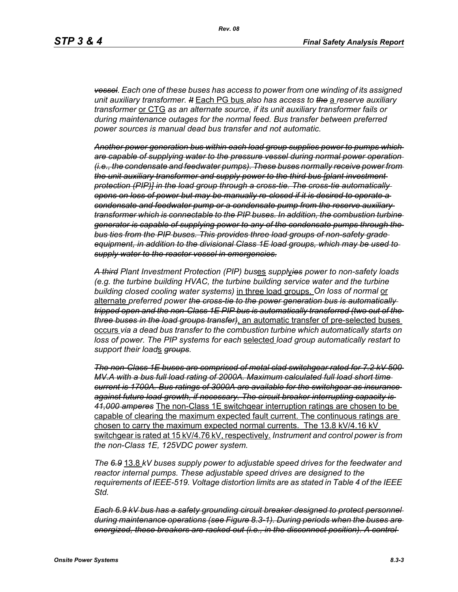*vessel. Each one of these buses has access to power from one winding of its assigned unit auxiliary transformer. It* Each PG bus *also has access to the* a *reserve auxiliary transformer* or CTG *as an alternate source, if its unit auxiliary transformer fails or during maintenance outages for the normal feed. Bus transfer between preferred power sources is manual dead bus transfer and not automatic.*

*Another power generation bus within each load group supplies power to pumps which are capable of supplying water to the pressure vessel during normal power operation (i.e., the condensate and feedwater pumps). These buses normally receive power from the unit auxiliary transformer and supply power to the third bus [plant investment protection (PIP)] in the load group through a cross-tie. The cross-tie automatically opens on loss of power but may be manually re-closed if it is desired to operate a condensate and feedwater pump or a condensate pump from the reserve auxiliary transformer which is connectable to the PIP buses. In addition, the combustion turbine generator is capable of supplying power to any of the condensate pumps through the bus ties from the PIP buses. This provides three load groups of non-safety grade equipment, in addition to the divisional Class 1E load groups, which may be used to supply water to the reactor vessel in emergencies.*

*A third Plant Investment Protection (PIP) bus*es *suppl*y*ies power to non-safety loads (e.g. the turbine building HVAC, the turbine building service water and the turbine building closed cooling water systems)* in three load groups. *On loss of normal* or alternate *preferred power the cross-tie to the power generation bus is automatically tripped open and the non-Class 1E PIP bus is automatically transferred (two out of the three buses in the load groups transfer)*, an automatic transfer of pre-selected buses occurs *via a dead bus transfer to the combustion turbine which automatically starts on loss of power. The PIP systems for each* selected *load group automatically restart to support their load*s *groups.*

*The non-Class 1E buses are comprised of metal clad switchgear rated for 7.2 kV 500 MV.A with a bus full load rating of 2000A. Maximum calculated full load short time current is 1700A. Bus ratings of 3000A are available for the switchgear as insurance against future load growth, if necessary. The circuit breaker interrupting capacity is 41,000 amperes* The non-Class 1E switchgear interruption ratings are chosen to be capable of clearing the maximum expected fault current. The continuous ratings are chosen to carry the maximum expected normal currents. The 13.8 kV/4.16 kV switchgear is rated at 15 kV/4.76 kV, respectively. *Instrument and control power is from the non-Class 1E, 125VDC power system.*

*The 6.9* 13.8 *kV buses supply power to adjustable speed drives for the feedwater and reactor internal pumps. These adjustable speed drives are designed to the requirements of IEEE-519. Voltage distortion limits are as stated in Table 4 of the IEEE Std.*

*Each 6.9 kV bus has a safety grounding circuit breaker designed to protect personnel during maintenance operations (see Figure 8.3-1). During periods when the buses are energized, these breakers are racked out (i.e., in the disconnect position). A control*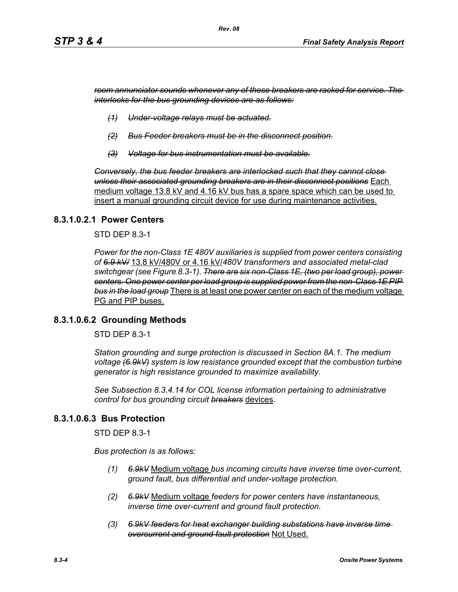*room annunciator sounds whenever any of these breakers are racked for service. The interlocks for the bus grounding devices are as follows:*

- *(1) Under-voltage relays must be actuated.*
- *(2) Bus Feeder breakers must be in the disconnect position.*
- *(3) Voltage for bus instrumentation must be available.*

*Conversely, the bus feeder breakers are interlocked such that they cannot close unless their associated grounding breakers are in their disconnect positions* Each medium voltage 13.8 kV and 4.16 kV bus has a spare space which can be used to insert a manual grounding circuit device for use during maintenance activities.

### **8.3.1.0.2.1 Power Centers**

STD DEP 8.3-1

*Power for the non-Class 1E 480V auxiliaries is supplied from power centers consisting of 6.9 kV/* 13.8 kV/480V or 4.16 kV/*480V transformers and associated metal-clad switchgear (see Figure 8.3-1). There are six non-Class 1E, (two per load group), power centers. One power center per load group is supplied power from the non-Class 1E PIP bus in the load group* There is at least one power center on each of the medium voltage PG and PIP buses.

### **8.3.1.0.6.2 Grounding Methods**

STD DEP 8.3-1

*Station grounding and surge protection is discussed in Section 8A.1. The medium voltage (6.9kV) system is low resistance grounded except that the combustion turbine generator is high resistance grounded to maximize availability.*

*See Subsection 8.3.4.14 for COL license information pertaining to administrative control for bus grounding circuit breakers* devices.

### **8.3.1.0.6.3 Bus Protection**

STD DEP 8.3-1

*Bus protection is as follows:*

- *(1) 6.9kV* Medium voltage *bus incoming circuits have inverse time over-current, ground fault, bus differential and under-voltage protection.*
- *(2) 6.9kV* Medium voltage *feeders for power centers have instantaneous, inverse time over-current and ground fault protection.*
- *(3) 6.9kV feeders for heat exchanger building substations have inverse time overcurrent and ground fault protection* Not Used.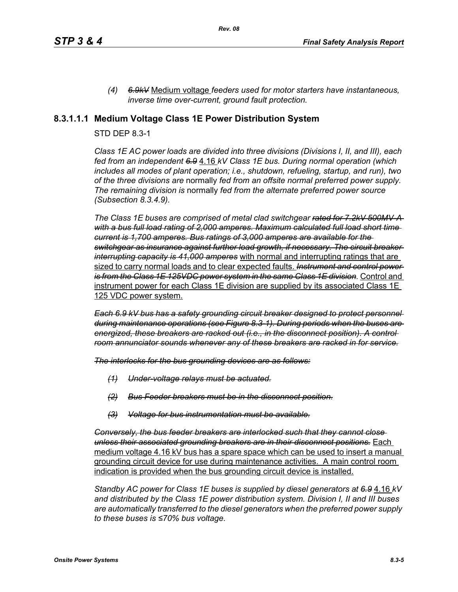*(4) 6.9kV* Medium voltage *feeders used for motor starters have instantaneous, inverse time over-current, ground fault protection.*

## **8.3.1.1.1 Medium Voltage Class 1E Power Distribution System**

### STD DEP 8.3-1

*Class 1E AC power loads are divided into three divisions (Divisions I, II, and III), each fed from an independent 6.9* 4.16 *kV Class 1E bus. During normal operation (which includes all modes of plant operation; i.e., shutdown, refueling, startup, and run), two of the three divisions are* normally *fed from an offsite normal preferred power supply. The remaining division is* normally *fed from the alternate preferred power source (Subsection 8.3.4.9).*

*The Class 1E buses are comprised of metal clad switchgear rated for 7.2kV 500MV-A with a bus full load rating of 2,000 amperes. Maximum calculated full load short time current is 1,700 amperes. Bus ratings of 3,000 amperes are available for the switchgear as insurance against further load growth, if necessary. The circuit breaker interrupting capacity is 41,000 amperes* with normal and interrupting ratings that are sized to carry normal loads and to clear expected faults. *Instrument and control power is from the Class 1E 125VDC power system in the same Class 1E division.* Control and instrument power for each Class 1E division are supplied by its associated Class 1E 125 VDC power system.

*Each 6.9 kV bus has a safety grounding circuit breaker designed to protect personnel during maintenance operations (see Figure 8.3-1). During periods when the buses are energized, these breakers are racked out (i.e., in the disconnect position). A control room annunciator sounds whenever any of these breakers are racked in for service.*

*The interlocks for the bus grounding devices are as follows:*

- *(1) Under-voltage relays must be actuated.*
- *(2) Bus Feeder breakers must be in the disconnect position.*
- *(3) Voltage for bus instrumentation must be available.*

*Conversely, the bus feeder breakers are interlocked such that they cannot close unless their associated grounding breakers are in their disconnect positions.* Each medium voltage 4.16 kV bus has a spare space which can be used to insert a manual grounding circuit device for use during maintenance activities. A main control room indication is provided when the bus grounding circuit device is installed.

*Standby AC power for Class 1E buses is supplied by diesel generators at 6.9* 4.16 *kV and distributed by the Class 1E power distribution system. Division I, II and III buses are automatically transferred to the diesel generators when the preferred power supply to these buses is ≤70% bus voltage.*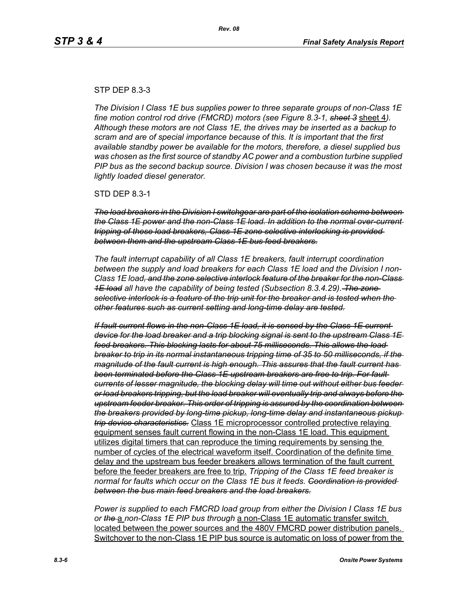#### STP DEP 8.3-3

*The Division I Class 1E bus supplies power to three separate groups of non-Class 1E fine motion control rod drive (FMCRD) motors (see Figure 8.3-1, sheet 3* sheet 4*). Although these motors are not Class 1E, the drives may be inserted as a backup to scram and are of special importance because of this. It is important that the first available standby power be available for the motors, therefore, a diesel supplied bus was chosen as the first source of standby AC power and a combustion turbine supplied PIP bus as the second backup source. Division I was chosen because it was the most lightly loaded diesel generator.*

STD DEP 8.3-1

*The load breakers in the Division I switchgear are part of the isolation scheme between the Class 1E power and the non-Class 1E load. In addition to the normal over-current tripping of these load breakers, Class 1E zone selective interlocking is provided between them and the upstream Class 1E bus feed breakers.*

*The fault interrupt capability of all Class 1E breakers, fault interrupt coordination between the supply and load breakers for each Class 1E load and the Division I non-Class 1E load, and the zone selective interlock feature of the breaker for the non-Class 1E load all have the capability of being tested (Subsection 8.3.4.29). The zone selective interlock is a feature of the trip unit for the breaker and is tested when the other features such as current setting and long-time delay are tested.*

*If fault current flows in the non-Class 1E load, it is sensed by the Class 1E current device for the load breaker and a trip blocking signal is sent to the upstream Class 1E feed breakers. This blocking lasts for about 75 milliseconds. This allows the load breaker to trip in its normal instantaneous tripping time of 35 to 50 milliseconds, if the magnitude of the fault current is high enough. This assures that the fault current has been terminated before the Class 1E upstream breakers are free to trip. For fault currents of lesser magnitude, the blocking delay will time out without either bus feeder or load breakers tripping, but the load breaker will eventually trip and always before the upstream feeder breaker. This order of tripping is assured by the coordination between the breakers provided by long-time pickup, long-time delay and instantaneous pickup trip device characteristics.* Class 1E microprocessor controlled protective relaying equipment senses fault current flowing in the non-Class 1E load. This equipment utilizes digital timers that can reproduce the timing requirements by sensing the number of cycles of the electrical waveform itself. Coordination of the definite time delay and the upstream bus feeder breakers allows termination of the fault current before the feeder breakers are free to trip. *Tripping of the Class 1E feed breaker is normal for faults which occur on the Class 1E bus it feeds. Coordination is provided between the bus main feed breakers and the load breakers.*

*Power is supplied to each FMCRD load group from either the Division I Class 1E bus or the* a *non-Class 1E PIP bus through* a non-Class 1E automatic transfer switch located between the power sources and the 480V FMCRD power distribution panels. Switchover to the non-Class 1E PIP bus source is automatic on loss of power from the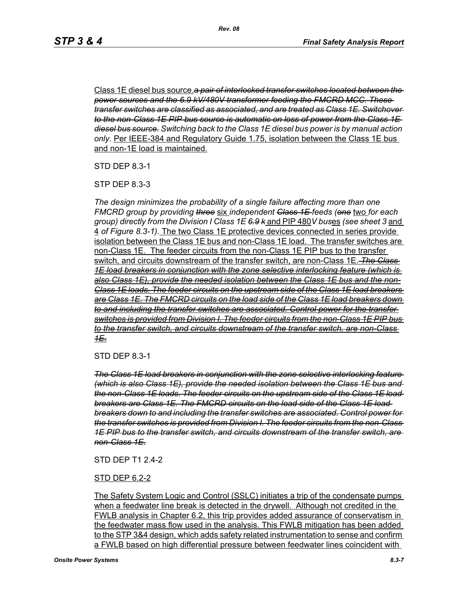Class 1E diesel bus source.*a pair of interlocked transfer switches located between the power sources and the 6.9 kV/480V transformer feeding the FMCRD MCC. These transfer switches are classified as associated, and are treated as Class 1E. Switchover to the non-Class 1E PIP bus source is automatic on loss of power from the Class 1E diesel bus source. Switching back to the Class 1E diesel bus power is by manual action only.* Per IEEE-384 and Regulatory Guide 1.75, isolation between the Class 1E bus and non-1E load is maintained.

STD DEP 8.3-1

STP DEP 8.3-3

*The design minimizes the probability of a single failure affecting more than one FMCRD group by providing three* six *independent Class 1E feeds (one* two *for each group) directly from the Division I Class 1E 6.9 k* and PIP 480*V bus*es *(see sheet 3* and 4 *of Figure 8.3-1).* The two Class 1E protective devices connected in series provide isolation between the Class 1E bus and non-Class 1E load. The transfer switches are non-Class 1E. The feeder circuits from the non-Class 1E PIP bus to the transfer switch, and circuits downstream of the transfer switch, are non-Class 1E. *The Class 1E load breakers in conjunction with the zone selective interlocking feature (which is also Class 1E), provide the needed isolation between the Class 1E bus and the non-Class 1E loads. The feeder circuits on the upstream side of the Class 1E load breakers are Class 1E. The FMCRD circuits on the load side of the Class 1E load breakers down to and including the transfer switches are associated. Control power for the transfer switches is provided from Division I. The feeder circuits from the non-Class 1E PIP bus to the transfer switch, and circuits downstream of the transfer switch, are non-Class 1E.*

STD DEP 8.3-1

*The Class 1E load breakers in conjunction with the zone selective interlocking feature (which is also Class 1E), provide the needed isolation between the Class 1E bus and the non-Class 1E loads. The feeder circuits on the upstream side of the Class 1E load breakers are Class 1E. The FMCRD circuits on the load side of the Class 1E load breakers down to and including the transfer switches are associated. Control power for the transfer switches is provided from Division I. The feeder circuits from the non-Class 1E PIP bus to the transfer switch, and circuits downstream of the transfer switch, are non-Class 1E.*

### STD DEP T1 2.4-2

### STD DEP 6.2-2

The Safety System Logic and Control (SSLC) initiates a trip of the condensate pumps when a feedwater line break is detected in the drywell. Although not credited in the FWLB analysis in Chapter 6.2, this trip provides added assurance of conservatism in the feedwater mass flow used in the analysis. This FWLB mitigation has been added to the STP 3&4 design, which adds safety related instrumentation to sense and confirm a FWLB based on high differential pressure between feedwater lines coincident with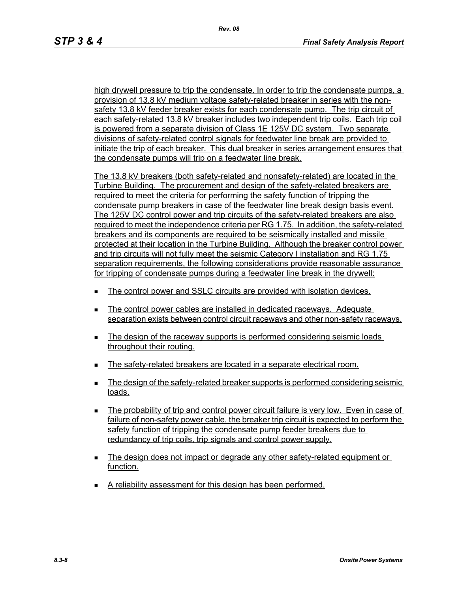high drywell pressure to trip the condensate. In order to trip the condensate pumps, a provision of 13.8 kV medium voltage safety-related breaker in series with the nonsafety 13.8 kV feeder breaker exists for each condensate pump. The trip circuit of each safety-related 13.8 kV breaker includes two independent trip coils. Each trip coil is powered from a separate division of Class 1E 125V DC system. Two separate divisions of safety-related control signals for feedwater line break are provided to initiate the trip of each breaker. This dual breaker in series arrangement ensures that the condensate pumps will trip on a feedwater line break.

The 13.8 kV breakers (both safety-related and nonsafety-related) are located in the Turbine Building. The procurement and design of the safety-related breakers are required to meet the criteria for performing the safety function of tripping the condensate pump breakers in case of the feedwater line break design basis event. The 125V DC control power and trip circuits of the safety-related breakers are also required to meet the independence criteria per RG 1.75. In addition, the safety-related breakers and its components are required to be seismically installed and missile protected at their location in the Turbine Building. Although the breaker control power and trip circuits will not fully meet the seismic Category I installation and RG 1.75 separation requirements, the following considerations provide reasonable assurance for tripping of condensate pumps during a feedwater line break in the drywell:

- The control power and SSLC circuits are provided with isolation devices.
- The control power cables are installed in dedicated raceways. Adequate separation exists between control circuit raceways and other non-safety raceways.
- The design of the raceway supports is performed considering seismic loads throughout their routing.
- The safety-related breakers are located in a separate electrical room.
- The design of the safety-related breaker supports is performed considering seismic loads.
- The probability of trip and control power circuit failure is very low. Even in case of failure of non-safety power cable, the breaker trip circuit is expected to perform the safety function of tripping the condensate pump feeder breakers due to redundancy of trip coils, trip signals and control power supply.
- The design does not impact or degrade any other safety-related equipment or function.
- A reliability assessment for this design has been performed.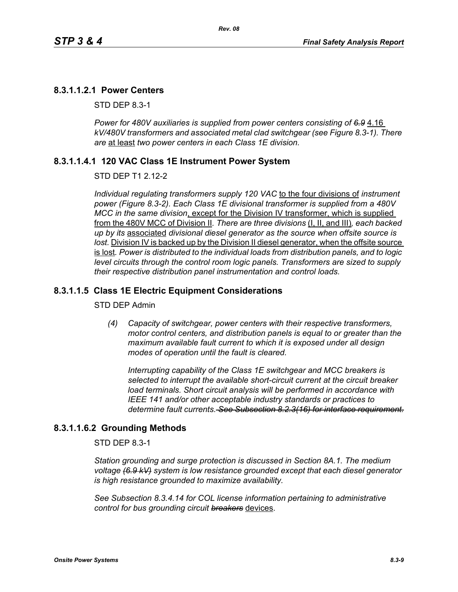# **8.3.1.1.2.1 Power Centers**

STD DEP 8.3-1

Power for 480V auxiliaries is supplied from power centers consisting of 6.9 4.16 *kV/480V transformers and associated metal clad switchgear (see Figure 8.3-1). There are* at least *two power centers in each Class 1E division.*

*Rev. 08*

# **8.3.1.1.4.1 120 VAC Class 1E Instrument Power System**

## STD DEP T1 2.12-2

*Individual regulating transformers supply 120 VAC* to the four divisions of *instrument power (Figure 8.3-2). Each Class 1E divisional transformer is supplied from a 480V MCC in the same division*, except for the Division IV transformer, which is supplied from the 480V MCC of Division II*. There are three divisions* (I, II, and III)*, each backed up by its* associated *divisional diesel generator as the source when offsite source is*  lost. Division IV is backed up by the Division II diesel generator, when the offsite source is lost*. Power is distributed to the individual loads from distribution panels, and to logic level circuits through the control room logic panels. Transformers are sized to supply their respective distribution panel instrumentation and control loads.*

# **8.3.1.1.5 Class 1E Electric Equipment Considerations**

### STD DEP Admin

*(4) Capacity of switchgear, power centers with their respective transformers, motor control centers, and distribution panels is equal to or greater than the maximum available fault current to which it is exposed under all design modes of operation until the fault is cleared.*

*Interrupting capability of the Class 1E switchgear and MCC breakers is selected to interrupt the available short-circuit current at the circuit breaker load terminals. Short circuit analysis will be performed in accordance with IEEE 141 and/or other acceptable industry standards or practices to determine fault currents. See Subsection 8.2.3(16) for interface requirement.*

# **8.3.1.1.6.2 Grounding Methods**

STD DEP 8.3-1

*Station grounding and surge protection is discussed in Section 8A.1. The medium voltage (6.9 kV) system is low resistance grounded except that each diesel generator is high resistance grounded to maximize availability.*

*See Subsection 8.3.4.14 for COL license information pertaining to administrative control for bus grounding circuit breakers* devices.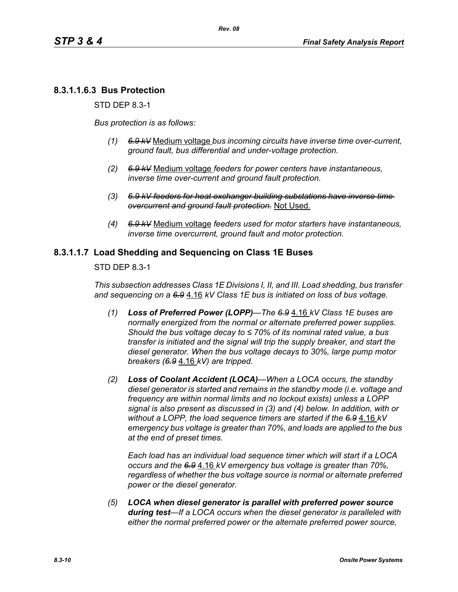# **8.3.1.1.6.3 Bus Protection**

STD DEP 8.3-1

*Bus protection is as follows:*

- *(1) 6.9 kV* Medium voltage *bus incoming circuits have inverse time over-current, ground fault, bus differential and under-voltage protection.*
- *(2) 6.9 kV* Medium voltage *feeders for power centers have instantaneous, inverse time over-current and ground fault protection.*
- *(3) 6.9 kV feeders for heat exchanger building substations have inverse time overcurrent and ground fault protection.* Not Used.
- *(4) 6.9 kV* Medium voltage *feeders used for motor starters have instantaneous, inverse time overcurrent, ground fault and motor protection.*

## **8.3.1.1.7 Load Shedding and Sequencing on Class 1E Buses**

STD DEP 8.3-1

*This subsection addresses Class 1E Divisions I, II, and III. Load shedding, bus transfer and sequencing on a 6.9* 4.16 *kV Class 1E bus is initiated on loss of bus voltage.*

- *(1) Loss of Preferred Power (LOPP)—The 6.9* 4.16 *kV Class 1E buses are normally energized from the normal or alternate preferred power supplies. Should the bus voltage decay to ≤ 70% of its nominal rated value, a bus transfer is initiated and the signal will trip the supply breaker, and start the diesel generator. When the bus voltage decays to 30%, large pump motor breakers (6.9* 4.16 *kV) are tripped.*
- *(2) Loss of Coolant Accident (LOCA)—When a LOCA occurs, the standby diesel generator is started and remains in the standby mode (i.e. voltage and frequency are within normal limits and no lockout exists) unless a LOPP signal is also present as discussed in (3) and (4) below. In addition, with or without a LOPP, the load sequence timers are started if the 6.9* 4.16 *kV emergency bus voltage is greater than 70%, and loads are applied to the bus at the end of preset times.*

*Each load has an individual load sequence timer which will start if a LOCA occurs and the 6.9* 4.16 *kV emergency bus voltage is greater than 70%, regardless of whether the bus voltage source is normal or alternate preferred power or the diesel generator.*

*(5) LOCA when diesel generator is parallel with preferred power source during test—If a LOCA occurs when the diesel generator is paralleled with either the normal preferred power or the alternate preferred power source,*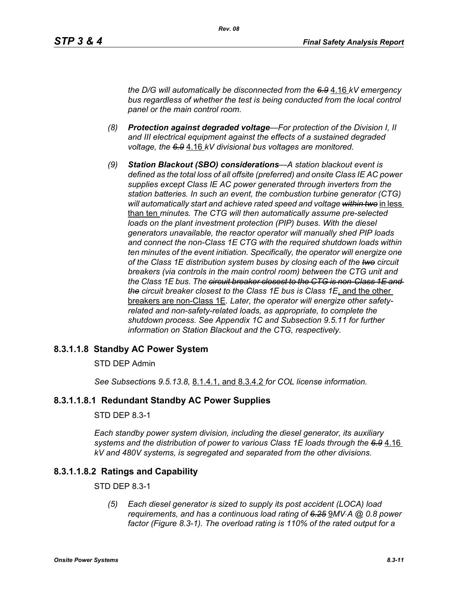*the D/G will automatically be disconnected from the 6.9* 4.16 *kV emergency bus regardless of whether the test is being conducted from the local control panel or the main control room.*

- *(8) Protection against degraded voltage—For protection of the Division I, II and III electrical equipment against the effects of a sustained degraded voltage, the 6.9* 4.16 *kV divisional bus voltages are monitored.*
- *(9) Station Blackout (SBO) considerations—A station blackout event is defined as the total loss of all offsite (preferred) and onsite Class IE AC power supplies except Class IE AC power generated through inverters from the station batteries. In such an event, the combustion turbine generator (CTG) will automatically start and achieve rated speed and voltage within two* in less than ten *minutes. The CTG will then automatically assume pre-selected loads on the plant investment protection (PIP) buses. With the diesel generators unavailable, the reactor operator will manually shed PIP loads and connect the non-Class 1E CTG with the required shutdown loads within ten minutes of the event initiation. Specifically, the operator will energize one of the Class 1E distribution system buses by closing each of the two circuit breakers (via controls in the main control room) between the CTG unit and the Class 1E bus. The circuit breaker closest to the CTG is non-Class 1E and the circuit breaker closest to the Class 1E bus is Class 1E*, and the other breakers are non-Class 1E*. Later, the operator will energize other safetyrelated and non-safety-related loads, as appropriate, to complete the shutdown process. See Appendix 1C and Subsection 9.5.11 for further information on Station Blackout and the CTG, respectively.*

### **8.3.1.1.8 Standby AC Power System**

#### STD DEP Admin

*See Subsection*s *9.5.13.8,* 8.1.4.1, and 8.3.4.2 *for COL license information.*

### **8.3.1.1.8.1 Redundant Standby AC Power Supplies**

#### STD DEP 8.3-1

*Each standby power system division, including the diesel generator, its auxiliary systems and the distribution of power to various Class 1E loads through the 6.9* 4.16 *kV and 480V systems, is segregated and separated from the other divisions.*

### **8.3.1.1.8.2 Ratings and Capability**

#### STD DEP 8.3-1

*(5) Each diesel generator is sized to supply its post accident (LOCA) load requirements, and has a continuous load rating of 6.25* 9*MV*⋅*A @ 0.8 power factor (Figure 8.3-1). The overload rating is 110% of the rated output for a*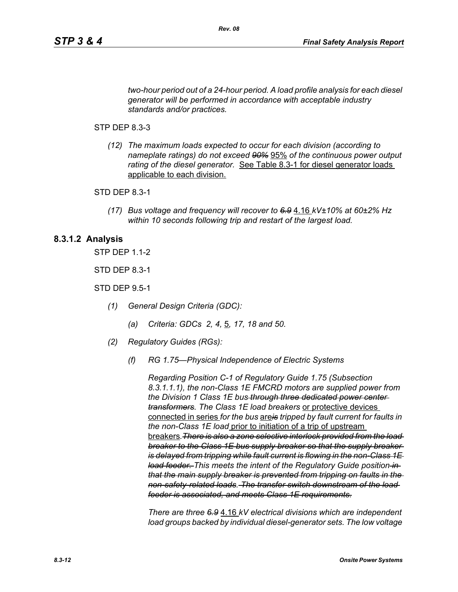*two-hour period out of a 24-hour period. A load profile analysis for each diesel generator will be performed in accordance with acceptable industry standards and/or practices.*

*Rev. 08*

#### STP DEP 8.3-3

*(12) The maximum loads expected to occur for each division (according to nameplate ratings) do not exceed 90%* 95% *of the continuous power output rating of the diesel generator.* See Table 8.3-1 for diesel generator loads applicable to each division.

#### STD DEP 8.3-1

*(17) Bus voltage and frequency will recover to 6.9* 4.16 *kV±10% at 60±2% Hz within 10 seconds following trip and restart of the largest load.*

#### **8.3.1.2 Analysis**

STP DEP 1.1-2

STD DEP 8.3-1

STD DEP 9.5-1

- *(1) General Design Criteria (GDC):*
	- *(a) Criteria: GDCs 2, 4,* 5*, 17, 18 and 50.*
- *(2) Regulatory Guides (RGs):*
	- *(f) RG 1.75—Physical Independence of Electric Systems*

*Regarding Position C-1 of Regulatory Guide 1.75 (Subsection 8.3.1.1.1), the non-Class 1E FMCRD motors are supplied power from the Division 1 Class 1E bus through three dedicated power center transformers. The Class 1E load breakers* or protective devices connected in series *for the bus* are*is tripped by fault current for faults in the non-Class 1E load* prior to initiation of a trip of upstream breakers*.There is also a zone selective interlock provided from the load breaker to the Class 1E bus supply breaker so that the supply breaker is delayed from tripping while fault current is flowing in the non-Class 1E load feeder. This meets the intent of the Regulatory Guide position in that the main supply breaker is prevented from tripping on faults in the non-safety-related loads. The transfer switch downstream of the load feeder is associated, and meets Class 1E requirements.*

*There are three 6.9* 4.16 *kV electrical divisions which are independent load groups backed by individual diesel-generator sets. The low voltage*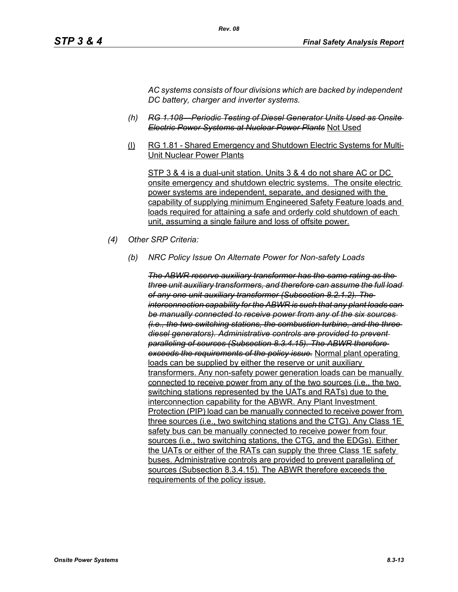*AC systems consists of four divisions which are backed by independent DC battery, charger and inverter systems.*

- *(h) RG 1.108—Periodic Testing of Diesel Generator Units Used as Onsite Electric Power Systems at Nuclear Power Plants* Not Used
- (l) RG 1.81 Shared Emergency and Shutdown Electric Systems for Multi-Unit Nuclear Power Plants

STP 3 & 4 is a dual-unit station. Units 3 & 4 do not share AC or DC onsite emergency and shutdown electric systems. The onsite electric power systems are independent, separate, and designed with the capability of supplying minimum Engineered Safety Feature loads and loads required for attaining a safe and orderly cold shutdown of each unit, assuming a single failure and loss of offsite power.

- *(4) Other SRP Criteria:*
	- *(b) NRC Policy Issue On Alternate Power for Non-safety Loads*

*The ABWR reserve auxiliary transformer has the same rating as the three unit auxiliary transformers, and therefore can assume the full load of any one unit auxiliary transformer (Subsection 8.2.1.2). The interconnection capability for the ABWR is such that any plant loads can be manually connected to receive power from any of the six sources (i.e., the two switching stations, the combustion turbine, and the three diesel generators). Administrative controls are provided to prevent paralleling of sources (Subsection 8.3.4.15). The ABWR therefore exceeds the requirements of the policy issue.* Normal plant operating loads can be supplied by either the reserve or unit auxiliary transformers. Any non-safety power generation loads can be manually connected to receive power from any of the two sources (i.e., the two switching stations represented by the UATs and RATs) due to the interconnection capability for the ABWR. Any Plant Investment Protection (PIP) load can be manually connected to receive power from three sources (i.e., two switching stations and the CTG). Any Class 1E safety bus can be manually connected to receive power from four sources (i.e., two switching stations, the CTG, and the EDGs). Either the UATs or either of the RATs can supply the three Class 1E safety buses. Administrative controls are provided to prevent paralleling of sources (Subsection 8.3.4.15). The ABWR therefore exceeds the requirements of the policy issue.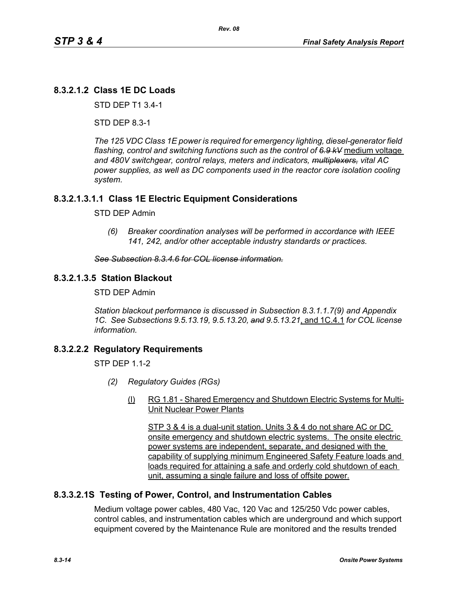# **8.3.2.1.2 Class 1E DC Loads**

STD DEP T1 3.4-1

STD DEP 8.3-1

*The 125 VDC Class 1E power is required for emergency lighting, diesel-generator field flashing, control and switching functions such as the control of 6.9 kV* medium voltage *and 480V switchgear, control relays, meters and indicators, multiplexers, vital AC power supplies, as well as DC components used in the reactor core isolation cooling system.*

# **8.3.2.1.3.1.1 Class 1E Electric Equipment Considerations**

### STD DEP Admin

*(6) Breaker coordination analyses will be performed in accordance with IEEE 141, 242, and/or other acceptable industry standards or practices.*

#### *See Subsection 8.3.4.6 for COL license information.*

## **8.3.2.1.3.5 Station Blackout**

STD DEP Admin

*Station blackout performance is discussed in Subsection 8.3.1.1.7(9) and Appendix 1C. See Subsections 9.5.13.19, 9.5.13.20, and 9.5.13.21*, and 1C.4.1 *for COL license information.*

# **8.3.2.2.2 Regulatory Requirements**

 $STP$  DFP 11-2

- *(2) Regulatory Guides (RGs)*
	- (l) RG 1.81 Shared Emergency and Shutdown Electric Systems for Multi-Unit Nuclear Power Plants

STP 3 & 4 is a dual-unit station. Units 3 & 4 do not share AC or DC onsite emergency and shutdown electric systems. The onsite electric power systems are independent, separate, and designed with the capability of supplying minimum Engineered Safety Feature loads and loads required for attaining a safe and orderly cold shutdown of each unit, assuming a single failure and loss of offsite power.

# **8.3.3.2.1S Testing of Power, Control, and Instrumentation Cables**

Medium voltage power cables, 480 Vac, 120 Vac and 125/250 Vdc power cables, control cables, and instrumentation cables which are underground and which support equipment covered by the Maintenance Rule are monitored and the results trended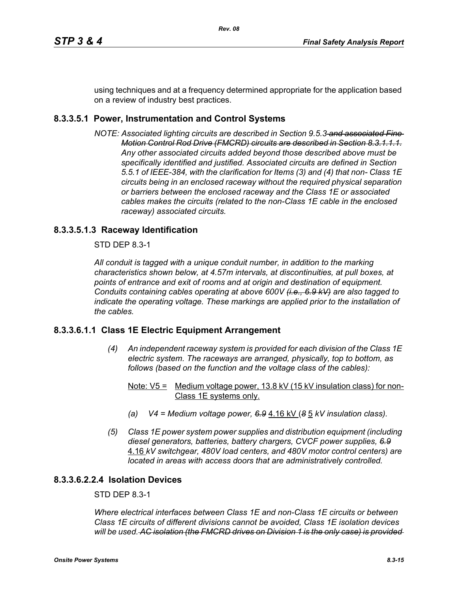using techniques and at a frequency determined appropriate for the application based on a review of industry best practices.

# **8.3.3.5.1 Power, Instrumentation and Control Systems**

*NOTE: Associated lighting circuits are described in Section 9.5.3 and associated Fine Motion Control Rod Drive (FMCRD) circuits are described in Section 8.3.1.1.1. Any other associated circuits added beyond those described above must be specifically identified and justified. Associated circuits are defined in Section 5.5.1 of IEEE-384, with the clarification for Items (3) and (4) that non- Class 1E circuits being in an enclosed raceway without the required physical separation or barriers between the enclosed raceway and the Class 1E or associated cables makes the circuits (related to the non-Class 1E cable in the enclosed raceway) associated circuits.*

# **8.3.3.5.1.3 Raceway Identification**

STD DEP 8.3-1

*All conduit is tagged with a unique conduit number, in addition to the marking characteristics shown below, at 4.57m intervals, at discontinuities, at pull boxes, at points of entrance and exit of rooms and at origin and destination of equipment. Conduits containing cables operating at above 600V (i.e., 6.9 kV) are also tagged to indicate the operating voltage. These markings are applied prior to the installation of the cables.*

# **8.3.3.6.1.1 Class 1E Electric Equipment Arrangement**

- *(4) An independent raceway system is provided for each division of the Class 1E electric system. The raceways are arranged, physically, top to bottom, as follows (based on the function and the voltage class of the cables):*
	- Note:  $V5 =$  Medium voltage power, 13.8 kV (15 kV insulation class) for non-Class 1E systems only.
	- *(a) V4 = Medium voltage power, 6.9* 4.16 kV (*8* 5 *kV insulation class).*
- *(5) Class 1E power system power supplies and distribution equipment (including diesel generators, batteries, battery chargers, CVCF power supplies, 6.9* 4.16 *kV switchgear, 480V load centers, and 480V motor control centers) are located in areas with access doors that are administratively controlled.*

# **8.3.3.6.2.2.4 Isolation Devices**

# STD DEP 8.3-1

*Where electrical interfaces between Class 1E and non-Class 1E circuits or between Class 1E circuits of different divisions cannot be avoided, Class 1E isolation devices will be used. AC isolation (the FMCRD drives on Division 1 is the only case) is provided*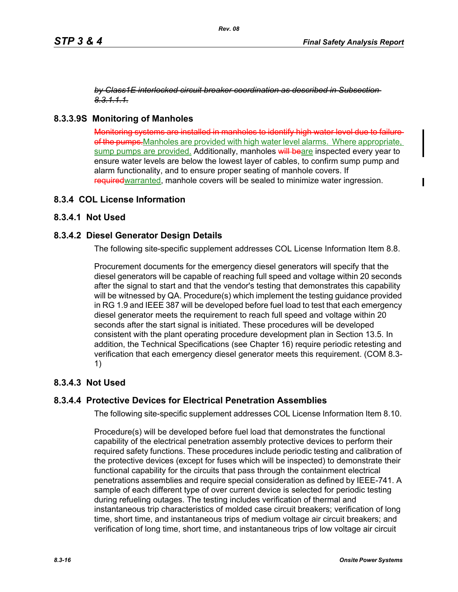*by Class1E interlocked circuit breaker coordination as described in Subsection 8.3.1.1.1.*

# **8.3.3.9S Monitoring of Manholes**

Monitoring systems are installed in manholes to identify high water level due to failure of the pumps. Manholes are provided with high water level alarms. Where appropriate, sump pumps are provided. Additionally, manholes will beare inspected every year to ensure water levels are below the lowest layer of cables, to confirm sump pump and alarm functionality, and to ensure proper seating of manhole covers. If required warranted, manhole covers will be sealed to minimize water ingression.

# **8.3.4 COL License Information**

# **8.3.4.1 Not Used**

## **8.3.4.2 Diesel Generator Design Details**

The following site-specific supplement addresses COL License Information Item 8.8.

Procurement documents for the emergency diesel generators will specify that the diesel generators will be capable of reaching full speed and voltage within 20 seconds after the signal to start and that the vendor's testing that demonstrates this capability will be witnessed by QA. Procedure(s) which implement the testing guidance provided in RG 1.9 and IEEE 387 will be developed before fuel load to test that each emergency diesel generator meets the requirement to reach full speed and voltage within 20 seconds after the start signal is initiated. These procedures will be developed consistent with the plant operating procedure development plan in Section 13.5. In addition, the Technical Specifications (see Chapter 16) require periodic retesting and verification that each emergency diesel generator meets this requirement. (COM 8.3- 1)

# **8.3.4.3 Not Used**

# **8.3.4.4 Protective Devices for Electrical Penetration Assemblies**

The following site-specific supplement addresses COL License Information Item 8.10.

Procedure(s) will be developed before fuel load that demonstrates the functional capability of the electrical penetration assembly protective devices to perform their required safety functions. These procedures include periodic testing and calibration of the protective devices (except for fuses which will be inspected) to demonstrate their functional capability for the circuits that pass through the containment electrical penetrations assemblies and require special consideration as defined by IEEE-741. A sample of each different type of over current device is selected for periodic testing during refueling outages. The testing includes verification of thermal and instantaneous trip characteristics of molded case circuit breakers; verification of long time, short time, and instantaneous trips of medium voltage air circuit breakers; and verification of long time, short time, and instantaneous trips of low voltage air circuit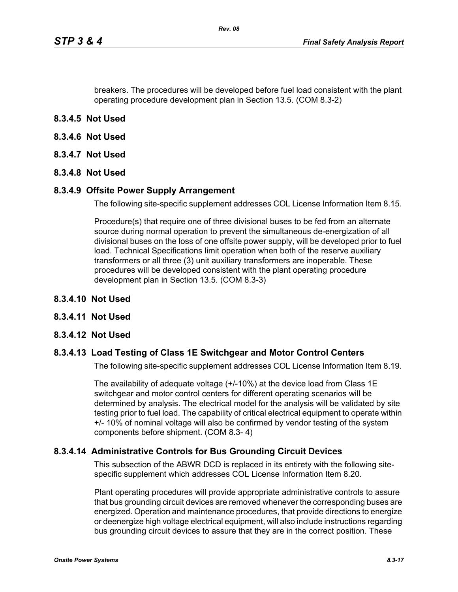breakers. The procedures will be developed before fuel load consistent with the plant operating procedure development plan in Section 13.5. (COM 8.3-2)

- **8.3.4.5 Not Used**
- **8.3.4.6 Not Used**
- **8.3.4.7 Not Used**
- **8.3.4.8 Not Used**

#### **8.3.4.9 Offsite Power Supply Arrangement**

The following site-specific supplement addresses COL License Information Item 8.15.

Procedure(s) that require one of three divisional buses to be fed from an alternate source during normal operation to prevent the simultaneous de-energization of all divisional buses on the loss of one offsite power supply, will be developed prior to fuel load. Technical Specifications limit operation when both of the reserve auxiliary transformers or all three (3) unit auxiliary transformers are inoperable. These procedures will be developed consistent with the plant operating procedure development plan in Section 13.5. (COM 8.3-3)

- **8.3.4.10 Not Used**
- **8.3.4.11 Not Used**
- **8.3.4.12 Not Used**

### **8.3.4.13 Load Testing of Class 1E Switchgear and Motor Control Centers**

The following site-specific supplement addresses COL License Information Item 8.19.

The availability of adequate voltage (+/-10%) at the device load from Class 1E switchgear and motor control centers for different operating scenarios will be determined by analysis. The electrical model for the analysis will be validated by site testing prior to fuel load. The capability of critical electrical equipment to operate within +/- 10% of nominal voltage will also be confirmed by vendor testing of the system components before shipment. (COM 8.3- 4)

### **8.3.4.14 Administrative Controls for Bus Grounding Circuit Devices**

This subsection of the ABWR DCD is replaced in its entirety with the following sitespecific supplement which addresses COL License Information Item 8.20.

Plant operating procedures will provide appropriate administrative controls to assure that bus grounding circuit devices are removed whenever the corresponding buses are energized. Operation and maintenance procedures, that provide directions to energize or deenergize high voltage electrical equipment, will also include instructions regarding bus grounding circuit devices to assure that they are in the correct position. These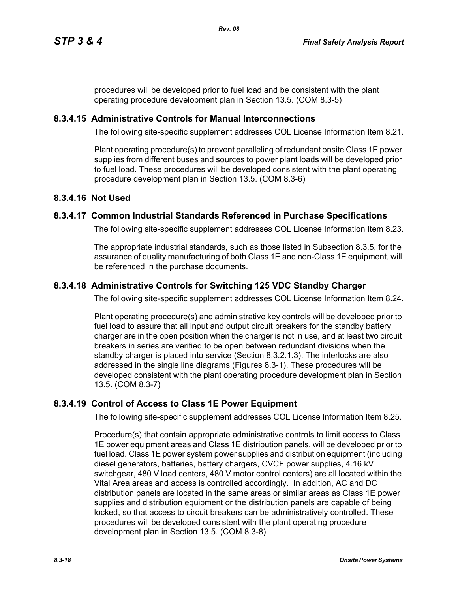procedures will be developed prior to fuel load and be consistent with the plant operating procedure development plan in Section 13.5. (COM 8.3-5)

# **8.3.4.15 Administrative Controls for Manual Interconnections**

The following site-specific supplement addresses COL License Information Item 8.21.

Plant operating procedure(s) to prevent paralleling of redundant onsite Class 1E power supplies from different buses and sources to power plant loads will be developed prior to fuel load. These procedures will be developed consistent with the plant operating procedure development plan in Section 13.5. (COM 8.3-6)

# **8.3.4.16 Not Used**

# **8.3.4.17 Common Industrial Standards Referenced in Purchase Specifications**

The following site-specific supplement addresses COL License Information Item 8.23.

The appropriate industrial standards, such as those listed in Subsection 8.3.5, for the assurance of quality manufacturing of both Class 1E and non-Class 1E equipment, will be referenced in the purchase documents.

# **8.3.4.18 Administrative Controls for Switching 125 VDC Standby Charger**

The following site-specific supplement addresses COL License Information Item 8.24.

Plant operating procedure(s) and administrative key controls will be developed prior to fuel load to assure that all input and output circuit breakers for the standby battery charger are in the open position when the charger is not in use, and at least two circuit breakers in series are verified to be open between redundant divisions when the standby charger is placed into service (Section 8.3.2.1.3). The interlocks are also addressed in the single line diagrams (Figures 8.3-1). These procedures will be developed consistent with the plant operating procedure development plan in Section 13.5. (COM 8.3-7)

# **8.3.4.19 Control of Access to Class 1E Power Equipment**

The following site-specific supplement addresses COL License Information Item 8.25.

Procedure(s) that contain appropriate administrative controls to limit access to Class 1E power equipment areas and Class 1E distribution panels, will be developed prior to fuel load. Class 1E power system power supplies and distribution equipment (including diesel generators, batteries, battery chargers, CVCF power supplies, 4.16 kV switchgear, 480 V load centers, 480 V motor control centers) are all located within the Vital Area areas and access is controlled accordingly. In addition, AC and DC distribution panels are located in the same areas or similar areas as Class 1E power supplies and distribution equipment or the distribution panels are capable of being locked, so that access to circuit breakers can be administratively controlled. These procedures will be developed consistent with the plant operating procedure development plan in Section 13.5. (COM 8.3-8)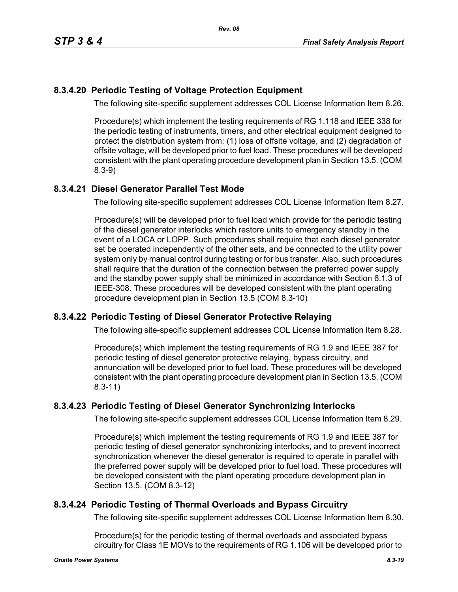# **8.3.4.20 Periodic Testing of Voltage Protection Equipment**

The following site-specific supplement addresses COL License Information Item 8.26.

Procedure(s) which implement the testing requirements of RG 1.118 and IEEE 338 for the periodic testing of instruments, timers, and other electrical equipment designed to protect the distribution system from: (1) loss of offsite voltage, and (2) degradation of offsite voltage, will be developed prior to fuel load. These procedures will be developed consistent with the plant operating procedure development plan in Section 13.5. (COM 8.3-9)

# **8.3.4.21 Diesel Generator Parallel Test Mode**

The following site-specific supplement addresses COL License Information Item 8.27.

Procedure(s) will be developed prior to fuel load which provide for the periodic testing of the diesel generator interlocks which restore units to emergency standby in the event of a LOCA or LOPP. Such procedures shall require that each diesel generator set be operated independently of the other sets, and be connected to the utility power system only by manual control during testing or for bus transfer. Also, such procedures shall require that the duration of the connection between the preferred power supply and the standby power supply shall be minimized in accordance with Section 6.1.3 of IEEE-308. These procedures will be developed consistent with the plant operating procedure development plan in Section 13.5 (COM 8.3-10)

# **8.3.4.22 Periodic Testing of Diesel Generator Protective Relaying**

The following site-specific supplement addresses COL License Information Item 8.28.

Procedure(s) which implement the testing requirements of RG 1.9 and IEEE 387 for periodic testing of diesel generator protective relaying, bypass circuitry, and annunciation will be developed prior to fuel load. These procedures will be developed consistent with the plant operating procedure development plan in Section 13.5. (COM 8.3-11)

# **8.3.4.23 Periodic Testing of Diesel Generator Synchronizing Interlocks**

The following site-specific supplement addresses COL License Information Item 8.29.

Procedure(s) which implement the testing requirements of RG 1.9 and IEEE 387 for periodic testing of diesel generator synchronizing interlocks, and to prevent incorrect synchronization whenever the diesel generator is required to operate in parallel with the preferred power supply will be developed prior to fuel load. These procedures will be developed consistent with the plant operating procedure development plan in Section 13.5. (COM 8.3-12)

# **8.3.4.24 Periodic Testing of Thermal Overloads and Bypass Circuitry**

The following site-specific supplement addresses COL License Information Item 8.30.

Procedure(s) for the periodic testing of thermal overloads and associated bypass circuitry for Class 1E MOVs to the requirements of RG 1.106 will be developed prior to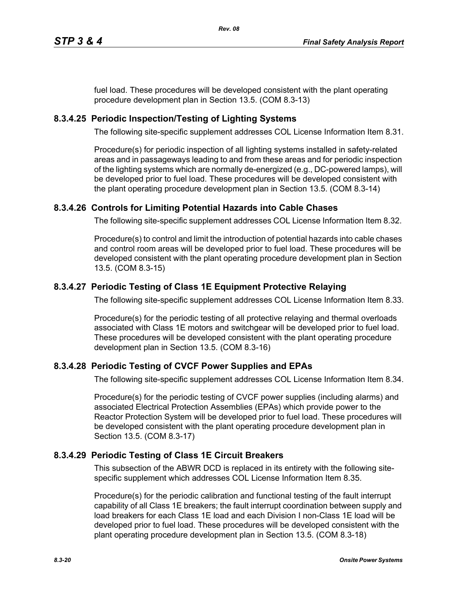fuel load. These procedures will be developed consistent with the plant operating procedure development plan in Section 13.5. (COM 8.3-13)

# **8.3.4.25 Periodic Inspection/Testing of Lighting Systems**

The following site-specific supplement addresses COL License Information Item 8.31.

Procedure(s) for periodic inspection of all lighting systems installed in safety-related areas and in passageways leading to and from these areas and for periodic inspection of the lighting systems which are normally de-energized (e.g., DC-powered lamps), will be developed prior to fuel load. These procedures will be developed consistent with the plant operating procedure development plan in Section 13.5. (COM 8.3-14)

# **8.3.4.26 Controls for Limiting Potential Hazards into Cable Chases**

The following site-specific supplement addresses COL License Information Item 8.32.

Procedure(s) to control and limit the introduction of potential hazards into cable chases and control room areas will be developed prior to fuel load. These procedures will be developed consistent with the plant operating procedure development plan in Section 13.5. (COM 8.3-15)

# **8.3.4.27 Periodic Testing of Class 1E Equipment Protective Relaying**

The following site-specific supplement addresses COL License Information Item 8.33.

Procedure(s) for the periodic testing of all protective relaying and thermal overloads associated with Class 1E motors and switchgear will be developed prior to fuel load. These procedures will be developed consistent with the plant operating procedure development plan in Section 13.5. (COM 8.3-16)

# **8.3.4.28 Periodic Testing of CVCF Power Supplies and EPAs**

The following site-specific supplement addresses COL License Information Item 8.34.

Procedure(s) for the periodic testing of CVCF power supplies (including alarms) and associated Electrical Protection Assemblies (EPAs) which provide power to the Reactor Protection System will be developed prior to fuel load. These procedures will be developed consistent with the plant operating procedure development plan in Section 13.5. (COM 8.3-17)

# **8.3.4.29 Periodic Testing of Class 1E Circuit Breakers**

This subsection of the ABWR DCD is replaced in its entirety with the following sitespecific supplement which addresses COL License Information Item 8.35.

Procedure(s) for the periodic calibration and functional testing of the fault interrupt capability of all Class 1E breakers; the fault interrupt coordination between supply and load breakers for each Class 1E load and each Division I non-Class 1E load will be developed prior to fuel load. These procedures will be developed consistent with the plant operating procedure development plan in Section 13.5. (COM 8.3-18)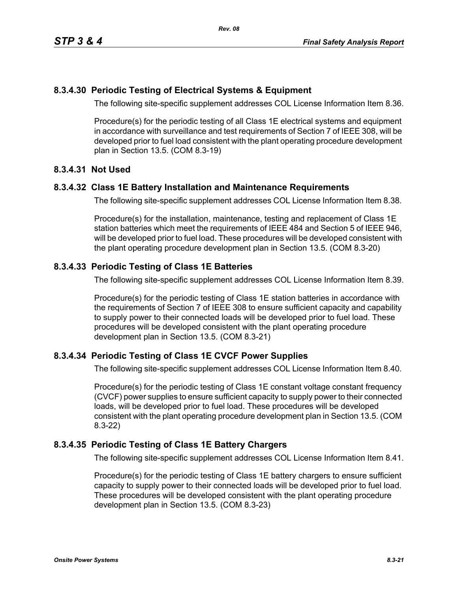# **8.3.4.30 Periodic Testing of Electrical Systems & Equipment**

The following site-specific supplement addresses COL License Information Item 8.36.

Procedure(s) for the periodic testing of all Class 1E electrical systems and equipment in accordance with surveillance and test requirements of Section 7 of IEEE 308, will be developed prior to fuel load consistent with the plant operating procedure development plan in Section 13.5. (COM 8.3-19)

## **8.3.4.31 Not Used**

## **8.3.4.32 Class 1E Battery Installation and Maintenance Requirements**

The following site-specific supplement addresses COL License Information Item 8.38.

Procedure(s) for the installation, maintenance, testing and replacement of Class 1E station batteries which meet the requirements of IEEE 484 and Section 5 of IEEE 946, will be developed prior to fuel load. These procedures will be developed consistent with the plant operating procedure development plan in Section 13.5. (COM 8.3-20)

# **8.3.4.33 Periodic Testing of Class 1E Batteries**

The following site-specific supplement addresses COL License Information Item 8.39.

Procedure(s) for the periodic testing of Class 1E station batteries in accordance with the requirements of Section 7 of IEEE 308 to ensure sufficient capacity and capability to supply power to their connected loads will be developed prior to fuel load. These procedures will be developed consistent with the plant operating procedure development plan in Section 13.5. (COM 8.3-21)

# **8.3.4.34 Periodic Testing of Class 1E CVCF Power Supplies**

The following site-specific supplement addresses COL License Information Item 8.40.

Procedure(s) for the periodic testing of Class 1E constant voltage constant frequency (CVCF) power supplies to ensure sufficient capacity to supply power to their connected loads, will be developed prior to fuel load. These procedures will be developed consistent with the plant operating procedure development plan in Section 13.5. (COM 8.3-22)

# **8.3.4.35 Periodic Testing of Class 1E Battery Chargers**

The following site-specific supplement addresses COL License Information Item 8.41.

Procedure(s) for the periodic testing of Class 1E battery chargers to ensure sufficient capacity to supply power to their connected loads will be developed prior to fuel load. These procedures will be developed consistent with the plant operating procedure development plan in Section 13.5. (COM 8.3-23)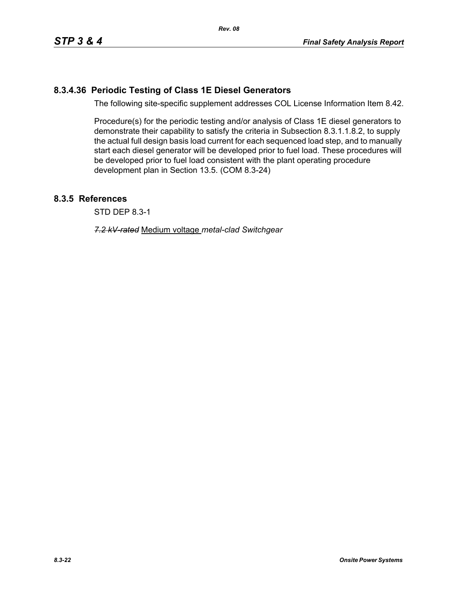# **8.3.4.36 Periodic Testing of Class 1E Diesel Generators**

The following site-specific supplement addresses COL License Information Item 8.42.

Procedure(s) for the periodic testing and/or analysis of Class 1E diesel generators to demonstrate their capability to satisfy the criteria in Subsection 8.3.1.1.8.2, to supply the actual full design basis load current for each sequenced load step, and to manually start each diesel generator will be developed prior to fuel load. These procedures will be developed prior to fuel load consistent with the plant operating procedure development plan in Section 13.5. (COM 8.3-24)

# **8.3.5 References**

STD DEP 8.3-1

*7.2 kV-rated* Medium voltage *metal-clad Switchgear*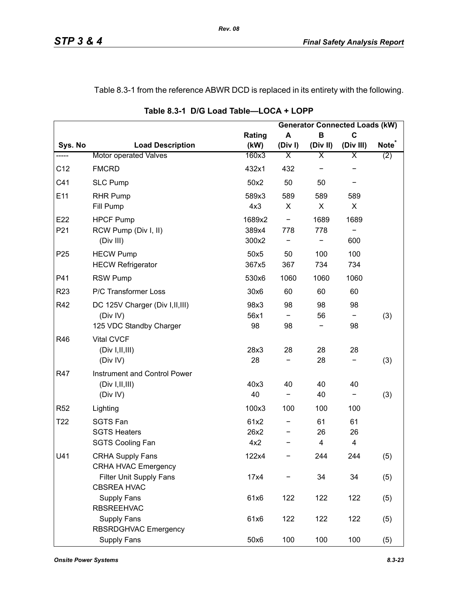# Table 8.3-1 from the reference ABWR DCD is replaced in its entirety with the following.

|                 |                                                                         |                          |           |               | <b>Generator Connected Loads (kW)</b> |                          |
|-----------------|-------------------------------------------------------------------------|--------------------------|-----------|---------------|---------------------------------------|--------------------------|
|                 |                                                                         | Rating                   | A         | B             | $\mathbf c$                           |                          |
| Sys. No         | <b>Load Description</b>                                                 | (kW)                     | (Div)     | (Div II)      | (Div III)                             | <b>Note</b> <sup>®</sup> |
| -----           | <b>Motor operated Valves</b>                                            | 160x3                    | Χ         | Χ             | X                                     | (2)                      |
| C12             | <b>FMCRD</b>                                                            | 432x1                    | 432       |               |                                       |                          |
| C41             | <b>SLC Pump</b>                                                         | 50x2                     | 50        | 50            |                                       |                          |
| E11             | <b>RHR Pump</b><br>Fill Pump                                            | 589x3<br>4x3             | 589<br>X  | 589<br>X      | 589<br>X                              |                          |
| E22<br>P21      | <b>HPCF Pump</b><br>RCW Pump (Div I, II)<br>(Div III)                   | 1689x2<br>389x4<br>300x2 | -<br>778  | 1689<br>778   | 1689<br>600                           |                          |
| P <sub>25</sub> | <b>HECW Pump</b><br><b>HECW Refrigerator</b>                            | 50x5<br>367x5            | 50<br>367 | 100<br>734    | 100<br>734                            |                          |
| P41             | <b>RSW Pump</b>                                                         | 530x6                    | 1060      | 1060          | 1060                                  |                          |
| R <sub>23</sub> | P/C Transformer Loss                                                    | 30x6                     | 60        | 60            | 60                                    |                          |
| R42             | DC 125V Charger (Div I, II, III)<br>(Div IV)<br>125 VDC Standby Charger | 98x3<br>56x1<br>98       | 98<br>98  | 98<br>56      | 98<br>98                              | (3)                      |
| R46             | <b>Vital CVCF</b><br>(Div I, II, III)<br>(Div IV)                       | 28x3<br>28               | 28        | 28<br>28      | 28                                    | (3)                      |
| R47             | Instrument and Control Power<br>(Div I, II, III)<br>(Div IV)            | 40x3<br>40               | 40<br>-   | 40<br>40      | 40<br>$\overline{\phantom{a}}$        | (3)                      |
| R <sub>52</sub> | Lighting                                                                | 100x3                    | 100       | 100           | 100                                   |                          |
| T <sub>22</sub> | <b>SGTS Fan</b><br><b>SGTS Heaters</b><br><b>SGTS Cooling Fan</b>       | 61x2<br>26x2<br>4x2      |           | 61<br>26<br>4 | 61<br>26<br>4                         |                          |
| U41             | <b>CRHA Supply Fans</b><br><b>CRHA HVAC Emergency</b>                   | 122x4                    |           | 244           | 244                                   | (5)                      |
|                 | Filter Unit Supply Fans<br><b>CBSREA HVAC</b>                           | 17x4                     |           | 34            | 34                                    | (5)                      |
|                 | Supply Fans<br><b>RBSREEHVAC</b>                                        | 61x6                     | 122       | 122           | 122                                   | (5)                      |
|                 | <b>Supply Fans</b><br><b>RBSRDGHVAC Emergency</b>                       | 61x6                     | 122       | 122           | 122                                   | (5)                      |
|                 | Supply Fans                                                             | 50x6                     | 100       | 100           | 100                                   | (5)                      |

**Table 8.3-1 D/G Load Table—LOCA + LOPP**

*Rev. 08*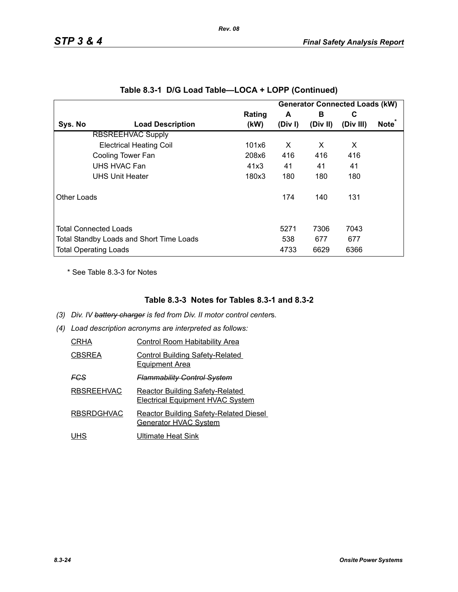|             |                                          |                |            |               | <b>Generator Connected Loads (kW)</b> |                   |
|-------------|------------------------------------------|----------------|------------|---------------|---------------------------------------|-------------------|
| Sys. No     | <b>Load Description</b>                  | Rating<br>(kW) | A<br>(Div) | в<br>(Div II) | С<br>(Div III)                        | Note <sup>*</sup> |
|             |                                          |                |            |               |                                       |                   |
|             | <b>RBSREEHVAC Supply</b>                 |                |            |               |                                       |                   |
|             | <b>Electrical Heating Coil</b>           | 101x6          | X          | X             | X                                     |                   |
|             | Cooling Tower Fan                        | 208x6          | 416        | 416           | 416                                   |                   |
|             | UHS HVAC Fan                             | 41x3           | 41         | 41            | 41                                    |                   |
|             | <b>UHS Unit Heater</b>                   | 180x3          | 180        | 180           | 180                                   |                   |
| Other Loads |                                          |                | 174        | 140           | 131                                   |                   |
|             | <b>Total Connected Loads</b>             |                | 5271       | 7306          | 7043                                  |                   |
|             | Total Standby Loads and Short Time Loads |                | 538        | 677           | 677                                   |                   |
|             | <b>Total Operating Loads</b>             |                | 4733       | 6629          | 6366                                  |                   |

|  |  |  | Table 8.3-1 D/G Load Table—LOCA + LOPP (Continued) |
|--|--|--|----------------------------------------------------|
|--|--|--|----------------------------------------------------|

*Rev. 08*

\* See Table 8.3-3 for Notes

# **Table 8.3-3 Notes for Tables 8.3-1 and 8.3-2**

- *(3) Div. IV battery charger is fed from Div. II motor control center*s*.*
- *(4) Load description acronyms are interpreted as follows:*

| CRHA              | Control Room Habitability Area                                                    |
|-------------------|-----------------------------------------------------------------------------------|
| <b>CBSREA</b>     | <b>Control Building Safety-Related</b><br><b>Equipment Area</b>                   |
| FCS               | <del>Flammability Control System</del>                                            |
| <b>RBSREEHVAC</b> | <b>Reactor Building Safety-Related</b><br><b>Electrical Equipment HVAC System</b> |
| <b>RBSRDGHVAC</b> | <b>Reactor Building Safety-Related Diesel</b><br>Generator HVAC System            |
| UHS               | Ultimate Heat Sink                                                                |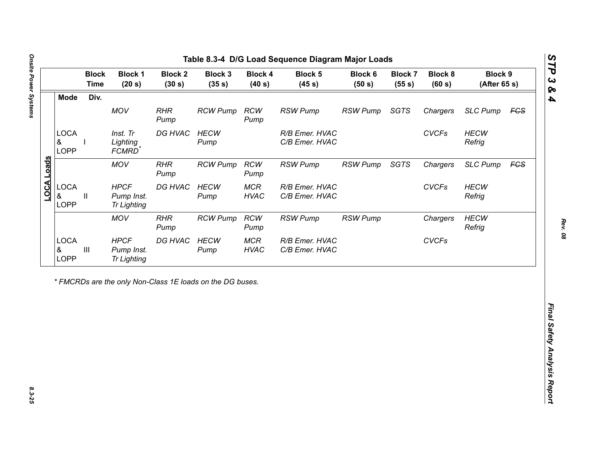| Div.<br><b>Mode</b><br>MOV<br><b>RHR</b><br><b>RCW</b><br><b>RSW Pump</b><br><b>RSW Pump</b><br><b>SGTS</b><br><b>RCW Pump</b><br>Chargers<br>Pump<br>Pump<br><b>LOCA</b><br>DG HVAC<br><b>CVCFs</b><br>Inst. Tr<br><b>HECW</b><br>R/B Emer. HVAC<br>&<br>Lighting<br>C/B Emer. HVAC<br>Refrig<br>Pump<br><b>LOPP</b><br>FCMRD <sup>*</sup><br>LOCA Loads<br><b>MOV</b><br><b>RHR</b><br><b>RCW</b><br><b>RSW Pump</b><br>SGTS<br><b>RCW Pump</b><br><b>RSW Pump</b><br>Chargers<br>Pump<br>Pump<br><b>LOCA</b><br><b>HPCF</b><br>DG HVAC<br><b>HECW</b><br><b>MCR</b><br><b>CVCFs</b><br>R/B Emer. HVAC<br>&<br>Pump Inst.<br><b>HVAC</b><br>C/B Emer. HVAC<br>Refrig<br>Ш<br>Pump<br><b>LOPP</b><br><b>Tr Lighting</b><br><b>MOV</b><br><b>RHR</b><br><b>RCW</b><br><b>RCW Pump</b><br><b>RSW Pump</b> | <b>SLC Pump</b><br><b>HECW</b><br><b>SLC Pump</b><br><b>HECW</b><br><b>HECW</b><br><b>RSW Pump</b><br>Chargers<br>Refrig<br><b>CVCFs</b> |
|----------------------------------------------------------------------------------------------------------------------------------------------------------------------------------------------------------------------------------------------------------------------------------------------------------------------------------------------------------------------------------------------------------------------------------------------------------------------------------------------------------------------------------------------------------------------------------------------------------------------------------------------------------------------------------------------------------------------------------------------------------------------------------------------------------|------------------------------------------------------------------------------------------------------------------------------------------|
|                                                                                                                                                                                                                                                                                                                                                                                                                                                                                                                                                                                                                                                                                                                                                                                                          | <b>FCS</b><br><b>FCS</b>                                                                                                                 |
|                                                                                                                                                                                                                                                                                                                                                                                                                                                                                                                                                                                                                                                                                                                                                                                                          |                                                                                                                                          |
|                                                                                                                                                                                                                                                                                                                                                                                                                                                                                                                                                                                                                                                                                                                                                                                                          |                                                                                                                                          |
|                                                                                                                                                                                                                                                                                                                                                                                                                                                                                                                                                                                                                                                                                                                                                                                                          |                                                                                                                                          |
|                                                                                                                                                                                                                                                                                                                                                                                                                                                                                                                                                                                                                                                                                                                                                                                                          |                                                                                                                                          |
| Pump<br>Pump                                                                                                                                                                                                                                                                                                                                                                                                                                                                                                                                                                                                                                                                                                                                                                                             |                                                                                                                                          |
| <b>LOCA</b><br><b>HPCF</b><br>DG HVAC<br><b>HECW</b><br><b>MCR</b><br>R/B Emer. HVAC<br>$\ensuremath{\mathsf{III}}\xspace$<br>&<br>Pump Inst.<br><b>HVAC</b><br>C/B Emer. HVAC<br>Pump<br>LOPP<br><b>Tr Lighting</b>                                                                                                                                                                                                                                                                                                                                                                                                                                                                                                                                                                                     |                                                                                                                                          |

노

*STP 3 & 4*